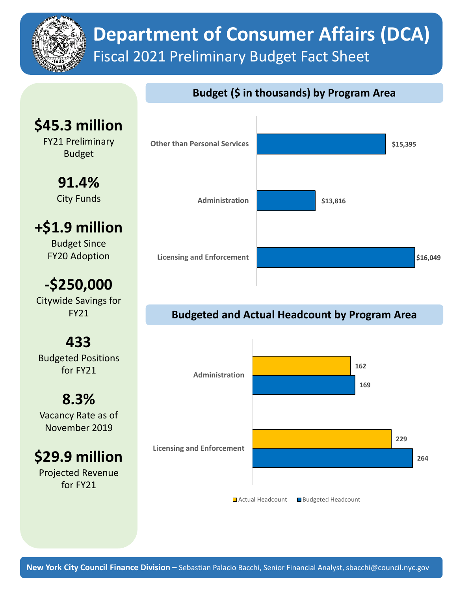

# **Department of Consumer Affairs (DCA)**  Fiscal 2021 Preliminary Budget Fact Sheet

### **Budget (\$ in thousands) by Program Area**

## **\$45.3 million**

FY21 Preliminary Budget

> **91.4%** City Funds

# **+\$1.9 million**

Budget Since FY20 Adoption

## **-\$250,000**

Citywide Savings for FY21

## **433**

Budgeted Positions for FY21

## **8.3%**

Vacancy Rate as of November 2019

**\$29.9 million** Projected Revenue

for FY21



### **Budgeted and Actual Headcount by Program Area**